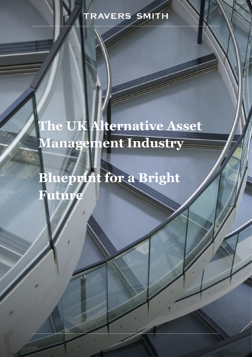# **The UK Alternative Asset Management Industry**

**Blueprint for a Bright Future**

*www.traverssmith.com*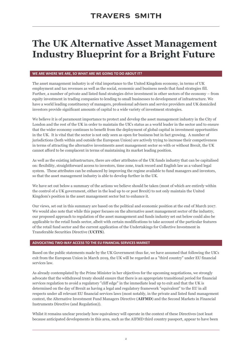# **The UK Alternative Asset Management Industry Blueprint for a Bright Future**

#### **WE ARE WHERE WE ARE, SO WHAT ARE WE GOING TO DO ABOUT IT?**

The asset management industry is of vital importance to the United Kingdom economy, in terms of UK employment and tax revenues as well as the social, economic and business needs that fund strategies fill. Further, a number of private and listed fund strategies drive investment in other sectors of the economy – from equity investment in trading companies to lending to small businesses to development of infrastructure. We have a world leading constituency of managers, professional advisers and service providers and UK domiciled investors provide significant amounts of capital to a wide variety of investment strategies.

We believe it is of paramount importance to protect and develop the asset management industry in the City of London and the rest of the UK in order to maintain the UK's status as a world leader in the sector and to ensure that the wider economy continues to benefit from the deployment of global capital in investment opportunities in the UK. It is vital that the sector is not only seen as open for business but in fact growing. A number of jurisdictions (both within and outside the European Union) are actively trying to increase their competiveness in terms of attracting the alternative investments asset management sector so with or without Brexit, the UK cannot afford to be complacent in terms of maintaining its market leading position.

As well as the existing infrastructure, there are other attributes of the UK funds industry that can be capitalised on: flexibility, straightforward access to investors, time zone, track record and English law as a valued legal system. These attributes can be enhanced by improving the regime available to fund managers and investors, so that the asset management industry is able to develop further in the UK.

We have set out below a summary of the actions we believe should be taken (most of which are entirely within the control of a UK government, either in the lead up to or post Brexit) to not only maintain the United Kingdom's position in the asset management sector but to enhance it.

Our views, set out in this summary are based on the political and economic position at the end of March 2017. We would also note that while this paper focuses on the alternative asset management sector of the industry, our proposed approach to regulation of the asset management and funds industry set out below could also be applicable to the retail funds sector, albeit with certain modifications to take account of the particular features of the retail fund sector and the current application of the Undertakings for Collective Investment in Transferable Securities Directive (**UCITS**).

#### **ADVOCATING TWO-WAY ACCESS TO THE EU FINANCIAL SERVICES MARKET**

Based on the public statements made by the UK Government thus far, we have assumed that following the UK's exit from the European Union in March 2019, the UK will be regarded as a "third country" under EU financial services law.

As already contemplated by the Prime Minister in her objectives for the upcoming negotiations, we strongly advocate that the withdrawal treaty should ensure that there is an appropriate transitional period for financial services regulation to avoid a regulatory "cliff edge" in the immediate lead up to exit and that the UK is determined on the day of Brexit as having a legal and regulatory framework "equivalent" to the EU in all respects under all relevant EU financial services laws (most notably, in the private and listed fund management context, the Alternative Investment Fund Managers Directive (**AIFMD**) and the Second Markets in Financial Instruments Directive (and Regulation)).

Whilst it remains unclear precisely how equivalency will operate in the context of these Directives (not least because anticipated developments in this area, such as the AIFMD third country passport, appear to have been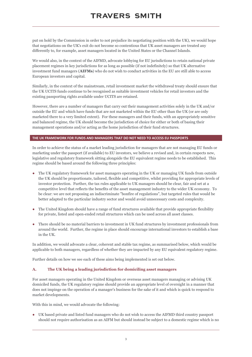put on hold by the Commission in order to not prejudice its negotiating position with the UK), we would hope that negotiations on the UK's exit do not become so contentious that UK asset managers are treated any differently to, for example, asset managers located in the United States or the Channel Islands.

We would also, in the context of the AIFMD, advocate lobbying for EU jurisdictions to retain national private placement regimes in key jurisdictions for as long as possible (if not indefinitely) so that UK alternative investment fund managers (**AIFMs**) who do not wish to conduct activities in the EU are still able to access European investors and capital.

Similarly, in the context of the mainstream, retail investment market the withdrawal treaty should ensure that the UK UCITS funds continue to be recognised as suitable investment vehicles for retail investors and the existing passporting rights available under UCITS are retained.

However, there are a number of managers that carry out their management activities solely in the UK and/or outside the EU and which have funds that are not marketed within the EU other than the UK (or are only marketed there to a very limited extent). For these managers and their funds, with an appropriately sensitive and balanced regime, the UK should become the jurisdiction of choice for either or both of basing their management operations and/or acting as the home jurisdiction of their fund structures.

#### **THE UK FRAMEWORK FOR FUNDS AND MANAGERS THAT DO NOT NEED TO ACCESS EU PASSPORTS**

In order to achieve the status of a market leading jurisdiction for managers that are not managing EU funds or marketing under the passport (if available) to EU investors, we believe a revised and, in certain respects new, legislative and regulatory framework sitting alongside the EU equivalent regime needs to be established. This regime should be based around the following three principles:

- **●** The UK regulatory framework for asset managers operating in the UK or managing UK funds from outside the UK should be proportionate, tailored, flexible and competitive, whilst providing for appropriate levels of investor protection. Further, the tax rules applicable to UK managers should be clear, fair and set at a competitive level that reflects the benefits of the asset management industry to the wider UK economy. To be clear: we are not proposing an indiscriminate "bonfire of regulations", but targeted rules that would be better adapted to the particular industry sector and would avoid unnecessary costs and complexity.
- **●** The United Kingdom should have a range of fund structures available that provide appropriate flexibility for private, listed and open-ended retail structures which can be used across all asset classes.
- **●** There should be no material barriers to investment in UK fund structures by investment professionals from around the world. Further, the regime in place should encourage international investors to establish a base in the UK.

In addition, we would advocate a clear, coherent and stable tax regime, as summarised below, which would be applicable to both managers, regardless of whether they are impacted by any EU equivalent regulatory regime.

Further details on how we see each of these aims being implemented is set out below.

#### **A. The UK being a leading jurisdiction for domiciling asset managers**

For asset managers operating in the United Kingdom or overseas asset managers managing or advising UK domiciled funds, the UK regulatory regime should provide an appropriate level of oversight in a manner that does not impinge on the operation of a manager's business for the sake of it and which is quick to respond to market developments.

With this in mind, we would advocate the following:

**●** UK based private and listed fund managers who do not wish to access the AIFMD third country passport should not require authorisation as an AIFM but should instead be subject to a domestic regime which is no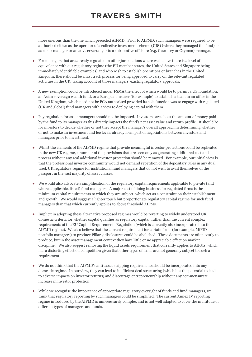more onerous than the one which preceded AIFMD. Prior to AIFMD, such managers were required to be authorised either as the operator of a collective investment scheme (**CIS**) (where they managed the fund) or as a sub-manager or an adviser/arranger to a substantive offshore (e.g. Guernsey or Cayman) manager.

- **●** For managers that are already regulated in other jurisdictions where we believe there is a level of equivalence with our regulatory regime (the EU member states, the United States and Singapore being immediately identifiable examples) and who wish to establish operations or branches in the United Kingdom, there should be a fast track process for being approved to carry on the relevant regulated activities in the UK, taking account of those managers' existing regulatory approvals.
- **●** A new exemption could be introduced under FSMA the effect of which would be to permit a US foundation, an Asian sovereign wealth fund, or a European insurer (for example) to establish a team in an office in the United Kingdom, which need not be FCA authorised provided its sole function was to engage with regulated (UK and global) fund managers with a view to deploying capital with them.
- **●** Pay regulation for asset managers should not be imposed. Investors care about the amount of money paid by the fund to its manager as this directly impacts the fund's net asset value and return profile. It should be for investors to decide whether or not they accept the manager's overall approach in determining whether or not to make an investment and fee levels already form part of negotiations between investors and managers prior to investment.
- Whilst the elements of the AIFMD regime that provide meaningful investor protections could be replicated in the new UK regime, a number of the provisions that are seen only as generating additional cost and process without any real additional investor protection should be removed. For example, our initial view is that the professional investor community would not demand repetition of the depositary rules in any dual track UK regulatory regime for institutional fund managers that do not wish to avail themselves of the passport in the vast majority of asset classes.
- **●** We would also advocate a simplification of the regulatory capital requirements applicable to private (and where, applicable, listed) fund managers. A major cost of doing business for regulated firms is the minimum capital requirements to which they are subject, which act as a constraint on their establishment and growth. We would suggest a lighter touch but proportionate regulatory capital regime for such fund managers than that which currently applies to above threshold AIFMs.
- **●** Implicit in adopting these alternative proposed regimes would be reverting to widely understood UK domestic criteria for whether capital qualifies as regulatory capital, rather than the current complex requirements of the EU Capital Requirements Regulation (which is currently also incorporated into the AIFMD regime). We also believe that the current requirement for certain firms (for example, MiFID portfolio managers) to produce Pillar 3 disclosures could be abolished. These documents are often costly to produce, but in the asset management context they have little or no appreciable effect on market discipline. We also suggest removing the liquid assets requirement that currently applies to AIFMs, which has a distorting effect on competition given that other types of firms are not generally subject to such a requirement.
- **●** We do not think that the AIFMD's anti-asset stripping requirements should be incorporated into any domestic regime. In our view, they can lead to inefficient deal structuring (which has the potential to lead to adverse impacts on investor returns) and discourage entrepreneurship without any commensurate increase in investor protection.
- While we recognise the importance of appropriate regulatory oversight of funds and fund managers, we think that regulatory reporting by such managers could be simplified. The current Annex IV reporting regime introduced by the AIFMD is unnecessarily complex and is not well adapted to cover the multitude of different types of managers and funds.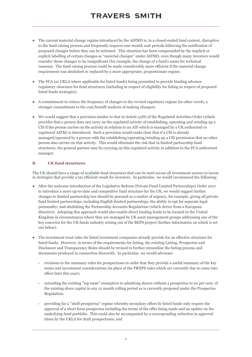- **●** The current material change regime introduced by the AIFMD is, in a closed-ended fund context, disruptive to the fund raising process and frequently requires one-month wait periods following the notification of proposed changes before they can be actioned. This situation has been compounded by the implicit or explicit labelling of certain changes as "material changes" under AIFMD, even though many investors would consider those changes to be insignificant (for example, the change of a fund's name for technical reasons). The fund raising process could be made considerably more efficient if the material change requirement was abolished or replaced by a more appropriate, proportionate regime.
- **●** The FCA (or UKLA where applicable for listed funds) being permitted to provide binding advance regulatory clearance for fund structures (including in respect of eligibility for listing in respect of proposed listed funds strategies).
- **●** A commitment to reduce the frequency of changes to the revised regulatory regime (in other words, a stronger commitment to the cost/benefit analysis of making changes).
- **●** We would suggest that a provision similar to that in Article 51ZG of the Regulated Activities Order (which provides that a person does not carry on the regulated activity of establishing, operating and winding up a CIS if the person carries on the activity in relation to an AIF which is managed by a UK authorised or registered AIFM) is introduced. Such a provision would make clear that if a CIS is already managed/operated by a person with the establishing/operating/winding up a CIS permission that no other person also carries on that activity. This would eliminate the risk that in limited partnership fund structures, the general partner may be carrying on this regulated activity in addition to the FCA authorised manager.

#### **B. UK fund structures**

The UK should have a range of available fund structures that can be used across all investment sectors to invest in strategies that provide a tax efficient result for investors. In particular, we would recommend the following:

- **●** After the welcome introduction of the Legislative Reform (Private Fund Limited Partnerships) Order 2017 to introduce a more up-to-date and competitive fund structure for the UK, we would suggest further changes to limited partnership law should be pursued as a matter of urgency, for example, giving all private fund limited partnerships, including English limited partnerships, the ability to opt for separate legal personality; and abolishing the Partnership Accounts Regulations (which derive from a European directive). Adopting this approach would also enable direct lending funds to be located in the United Kingdom in circumstances where they are managed by UK asset management groups addressing one of the key concerns for the UK funds industry arising out of the BEPS project (further information on which is set out below).
- **●** The investment trust rules for listed investment companies already provide for an effective structure for listed funds. However, in terms of the requirements for listing, the existing Listing, Prospectus and Disclosure and Transparency Rules should be revised to further streamline the listing process and documents produced in connection therewith. In particular, we would advocate:
	- **-** revisions to the summary rules for prospectuses in order that they provide a useful summary of the key terms and investment considerations (in place of the PRIIPS rules which are currently due to come into effect later this year);
	- **-** extending the existing "tap issue" exemption to admitting shares without a prospectus to 20 per cent. of the existing share capital in any 12 month rolling period as is currently proposed under the Prospectus Regulation;
	- **-** providing for a "shelf prospectus" regime whereby secondary offers by listed funds only require the approval of a short form prospectus including the terms of the offer being made and an update on the underlying fund portfolio. This could also be accompanied by a corresponding reduction in approval times by the UKLA for draft prospectuses; and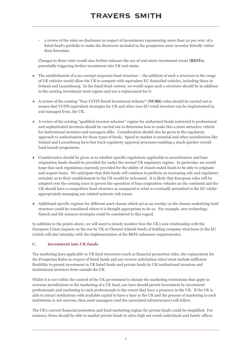**-** a review of the rules on disclosure in respect of investments representing more than 20 per cent. of a listed fund's portfolio to make the disclosure included in the prospectus more investor friendly rather than formulaic.

Changes to these rules would also further enhance the use of real estate investment trusts (**REITs**), potentially triggering further investment into UK real estate.

- The establishment of a tax exempt corporate fund structure the addition of such a structure to the range of UK vehicles would allow the UK to compete with equivalent EU domiciled vehicles, including those in Ireland and Luxembourg. In the listed fund context, we would argue such a structure should be in addition to the existing investment trust regime and not a replacement for it.
- **●** A review of the existing "Non-UCITS Retail Investment Scheme" (**NURS**) rules should be carried out to ensure that UCITS equivalent strategies for UK and other non-EU retail investors can be implemented in, and managed from, the UK.
- **●** A review of the existing "qualified investor schemes" regime for authorised funds restricted to professional and sophisticated investors should be carried out to determine how to make this a more attractive vehicle for institutional investors and managers alike. Consideration should also be given to the regulatory approach to authorisation for these types of funds. Speed to market is essential and other jurisdictions like Ireland and Luxembourg have fast track regulatory approval processes enabling a much quicker overall fund launch programme.
- **●** Consideration should be given as to whether specific regulations applicable to securitisation and loan origination funds should be provided for under the revised UK regulatory regime. In particular, we would hope that such regulations expressly provided for the ability of closed-ended funds to be able to originate and acquire loans. We anticipate that debt funds will continue to perform an increasing role and regulatory certainty as to their establishment in the UK would be welcomed. It is likely that European rules will be adopted over the coming years to govern the operation of loan origination vehicles on the continent and the UK should have a competitive fund structure as compared to what is eventually permitted in the EU whilst appropriately managing any related systemic risk issues.
- **●** Additional specific regimes for different asset classes which act as an overlay on the chosen underlying fund structure could be considered where it is thought appropriate to do so. For example, new technology, fintech and life sciences strategies could be considered in this regard.

In addition to the points above, we will need to closely monitor how the UK's new relationship with the European Union impacts on the use by UK or Channel Islands funds of holding company structures in the EU (which will also interplay with the implementation of the BEPS substance requirements).

#### **C. Investment into UK funds**

The marketing laws applicable to UK fund structures (such as financial promotion rules, the replacement for the Prospectus Rules in respect of listed funds and any reverse solicitation rules) must include sufficient flexibility to permit investment in UK listed funds and private funds by UK institutional investors and institutional investors from outside the UK.

Whilst it is not within the control of the UK government to dictate the marketing restrictions that apply in overseas jurisdictions to the marketing of a UK fund, our laws should permit investment by investment professionals and marketing to such professionals to the extent they have a presence in the UK. If the UK is able to attract institutions with available capital to have a base in the UK and the process of marketing to such institutions is not onerous, then asset managers (and the associated infrastructure) will follow.

The UK's current financial promotion and fund marketing regime for private funds could be simplified. For instance, firms should be able to market private funds to ultra-high net worth individuals and family offices.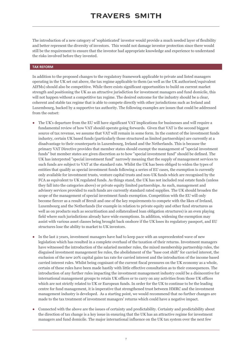The introduction of a new category of 'sophisticated' investor would provide a much needed layer of flexibility and better represent the diversity of investors. This would not damage investor protection since there would still be the requirement to ensure that the investor had appropriate knowledge and experience to understand the risks involved before they invested.

#### **TAX REFORM**

In addition to the proposed changes to the regulatory framework applicable to private and listed managers operating in the UK set out above, the tax regime applicable to them (as well as the UK authorised/equivalent AIFMs) should also be competitive. While there exists significant opportunities to build on current market strength and positioning the UK as an attractive jurisdiction for investment managers and fund domicile, this will not happen without a competitive tax regime. The desired outcome for the industry should be a clear, coherent and stable tax regime that is able to compete directly with other jurisdictions such as Ireland and Luxembourg, backed by a supportive tax authority. The following examples are issues that could be addressed from the outset:

- The UK's departure from the EU will have significant VAT implications for businesses and will require a fundamental review of how VAT should operate going forwards. Given that VAT is the second biggest source of tax revenue, we assume that VAT will remain in some form. In the context of the investment funds industry, certain UK based funds (particularly those structured as limited partnerships) are currently at a disadvantage to their counterparts in Luxembourg, Ireland and the Netherlands. This is because the primary VAT Directive provides that member states should exempt the management of "special investment funds" but member states are given discretion as to how "special investment fund" should be defined. The UK has interpreted "special investment fund" narrowly meaning that the supply of management services to such funds are subject to VAT at the standard rate. Whilst the UK has been obliged to widen the types of entities that qualify as special investment funds following a series of EU cases, the exemption is currently only available for investment trusts, venture capital trusts and non-UK funds which are recognised by the FCA as equivalent to UK regulated funds. As things stand, the UK has not included real estate funds (unless they fall into the categories above) or private equity limited partnerships. As such, management and advisory services provided to such funds are currently standard rated supplies. The UK should broaden the scope of the management of special investment funds exemption. Competition with the EU will only become fiercer as a result of Brexit and one of the key requirements to compete with the likes of Ireland, Luxembourg and the Netherlands (for example in relation to private equity and other fund structures as well as on products such as securitisation and collateralised loan obligation structures) is an even playing field where such jurisdictions already have wide exemptions. In addition, widening the exemption may assist with various asset classes being brought back onshore if the UK loses its regulatory passport, and EU structures lose the ability to market to UK investors.
- In the last 2 years, investment managers have had to keep pace with an unprecedented wave of new legislation which has resulted in a complete overhaul of the taxation of their returns. Investment managers have witnessed the introduction of the salaried member rules, the mixed membership partnership rules, the disguised investment management fee rules, the abolishment of the "base cost shift" for carried interest, the exclusion of the new 20% capital gains tax rate for carried interest and the introduction of the income based carried interest rules. Whilst being cognisant of the current fiscal pressures on the UK economy as a whole, certain of these rules have been made hastily with little effective consultation as to their consequences. The introduction of any further rules impacting the investment management industry could be a disincentive for international management groups to retain UK offices or to carry on any activities from those UK offices which are not strictly related to UK or European funds. In order for the UK to continue to be the leading centre for fund management, it is imperative that strengthened trust between HMRC and the investment management industry is developed. As a starting point, we would recommend that no further changes are made to the tax treatment of investment managers' returns which could have a negative impact.
- **●** Connected with the above are the issues of certainty and predictability. Certainty and predictability about the direction of tax change is a key issue in ensuring that the UK has an attractive regime for investment managers and fund domicile. The major international influence on the UK tax system over the next few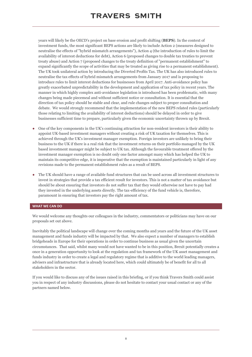years will likely be the OECD's project on base erosion and profit shifting (**BEPS**). In the context of investment funds, the most significant BEPS actions are likely to include Action 2 (measures designed to neutralise the effects of "hybrid mismatch arrangements"), Action 4 (the introduction of rules to limit the availability of interest deductions for debt), Action 6 (proposed changes to double tax treaties to prevent treaty abuse) and Action 7 (proposed changes to the treaty definition of "permanent establishment" to expand significantly the scope of activities that may be treated as giving rise to a permanent establishment). The UK took unilateral action by introducing the Diverted Profits Tax. The UK has also introduced rules to neutralise the tax effects of hybrid mismatch arrangements from January 2017 and is proposing to introduce rules to limit interest deductions for businesses from April 2017. Anti-avoidance policy has greatly exacerbated unpredictability in the development and application of tax policy in recent years. The manner in which highly complex anti-avoidance legislation is introduced has been problematic, with many changes being made piecemeal and without sufficient notice or consultation. It is essential that the direction of tax policy should be stable and clear, and rule changes subject to proper consultation and debate. We would strongly recommend that the implementation of the new BEPS related rules (particularly those relating to limiting the availability of interest deductions) should be delayed in order to give businesses sufficient time to prepare, particularly given the economic uncertainty thrown up by Brexit.

- **●** One of the key components in the UK's continuing attraction for non-resident investors is their ability to appoint UK-based investment managers without creating a risk of UK taxation for themselves. This is achieved through the UK's investment manager exemption. Foreign investors are unlikely to bring their business to the UK if there is a real risk that the investment returns on their portfolio managed by the UK based investment manager might be subject to UK tax. Although the favourable treatment offered by the investment manager exemption is no doubt only one factor amongst many which has helped the UK to maintain its competitive edge, it is imperative that the exemption is maintained particularly in light of any revisions made to the permanent establishment rules as a result of BEPS.
- The UK should have a range of available fund structures that can be used across all investment structures to invest in strategies that provide a tax efficient result for investors. This is not a matter of tax avoidance but should be about ensuring that investors do not suffer tax that they would otherwise not have to pay had they invested in the underlying assets directly. The tax-efficiency of the fund vehicle is, therefore, paramount in ensuring that investors pay the right amount of tax.

#### **WHAT WE CAN DO**

We would welcome any thoughts our colleagues in the industry, commentators or politicians may have on our proposals set out above.

Inevitably the political landscape will change over the coming months and years and the future of the UK asset management and funds industry will be impacted by that. We also expect a number of managers to establish bridgeheads in Europe for their operations in order to continue business as usual given the uncertain circumstances. That said, whilst many would not have wanted to be in this position, Brexit potentially creates a once in a generation opportunity to look at the regulation and tax framework of the UK asset management and funds industry in order to create a legal and regulatory regime that is additive to the world leading managers, advisers and infrastructure that is already located here, which could ultimately be of benefit for all to all stakeholders in the sector.

If you would like to discuss any of the issues raised in this briefing, or if you think Travers Smith could assist you in respect of any industry discussions, please do not hesitate to contact your usual contact or any of the partners named below.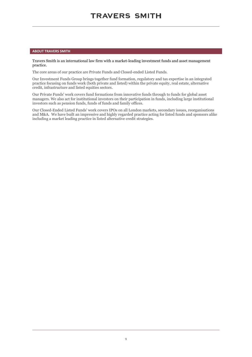#### **ABOUT TRAVERS SMITH**

#### Travers Smith is an international law firm with a market-leading investment funds and asset management practice.

The core areas of our practice are Private Funds and Closed-ended Listed Funds.

Our Investment Funds Group brings together fund formation, regulatory and tax expertise in an integrated practice focusing on funds work (both private and listed) within the private equity, real estate, alternative credit, infrastructure and listed equities sectors.

Our Private Funds' work covers fund formations from innovative funds through to funds for global asset managers. We also act for institutional investors on their participation in funds, including large institutional investors such as pension funds, funds of funds and family offices.

Our Closed-Ended Listed Funds' work covers IPOs on all London markets, secondary issues, reorganisations and M&A. We have built an impressive and highly regarded practice acting for listed funds and sponsors alike including a market leading practice in listed alternative credit strategies.